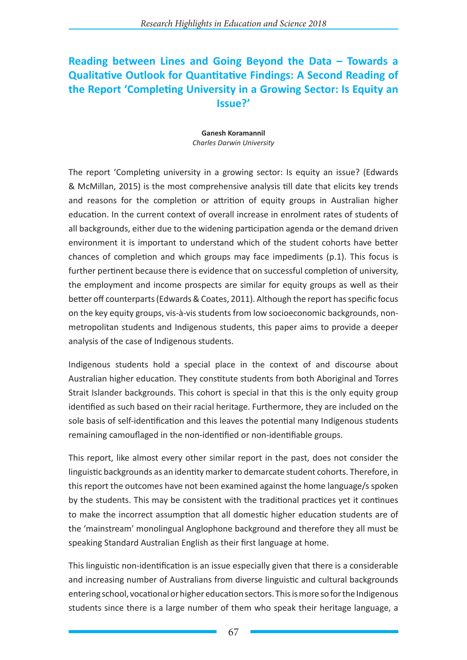## **Reading between Lines and Going Beyond the Data – Towards a Qualitative Outlook for Quantitative Findings: A Second Reading of the Report 'Completing University in a Growing Sector: Is Equity an Issue?'**

## **Ganesh Koramannil** *Charles Darwin University*

The report 'Completing university in a growing sector: Is equity an issue? (Edwards & McMillan, 2015) is the most comprehensive analysis till date that elicits key trends and reasons for the completion or attrition of equity groups in Australian higher education. In the current context of overall increase in enrolment rates of students of all backgrounds, either due to the widening participation agenda or the demand driven environment it is important to understand which of the student cohorts have better chances of completion and which groups may face impediments (p.1). This focus is further pertinent because there is evidence that on successful completion of university, the employment and income prospects are similar for equity groups as well as their better off counterparts (Edwards & Coates, 2011). Although the report has specific focus on the key equity groups, vis-à-vis students from low socioeconomic backgrounds, nonmetropolitan students and Indigenous students, this paper aims to provide a deeper analysis of the case of Indigenous students.

Indigenous students hold a special place in the context of and discourse about Australian higher education. They constitute students from both Aboriginal and Torres Strait Islander backgrounds. This cohort is special in that this is the only equity group identified as such based on their racial heritage. Furthermore, they are included on the sole basis of self-identification and this leaves the potential many Indigenous students remaining camouflaged in the non-identified or non-identifiable groups.

This report, like almost every other similar report in the past, does not consider the linguistic backgrounds as an identity marker to demarcate student cohorts. Therefore, in this report the outcomes have not been examined against the home language/s spoken by the students. This may be consistent with the traditional practices yet it continues to make the incorrect assumption that all domestic higher education students are of the 'mainstream' monolingual Anglophone background and therefore they all must be speaking Standard Australian English as their first language at home.

This linguistic non-identification is an issue especially given that there is a considerable and increasing number of Australians from diverse linguistic and cultural backgrounds entering school, vocational or higher education sectors. This is more so for the Indigenous students since there is a large number of them who speak their heritage language, a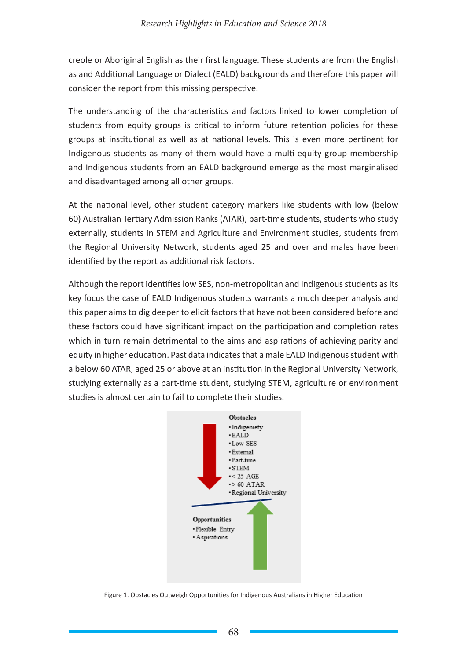creole or Aboriginal English as their first language. These students are from the English as and Additional Language or Dialect (EALD) backgrounds and therefore this paper will consider the report from this missing perspective.

The understanding of the characteristics and factors linked to lower completion of students from equity groups is critical to inform future retention policies for these groups at institutional as well as at national levels. This is even more pertinent for Indigenous students as many of them would have a multi-equity group membership and Indigenous students from an EALD background emerge as the most marginalised and disadvantaged among all other groups.

At the national level, other student category markers like students with low (below 60) Australian Tertiary Admission Ranks (ATAR), part-time students, students who study externally, students in STEM and Agriculture and Environment studies, students from the Regional University Network, students aged 25 and over and males have been identified by the report as additional risk factors.

Although the report identifies low SES, non-metropolitan and Indigenous students as its key focus the case of EALD Indigenous students warrants a much deeper analysis and this paper aims to dig deeper to elicit factors that have not been considered before and these factors could have significant impact on the participation and completion rates which in turn remain detrimental to the aims and aspirations of achieving parity and equity in higher education. Past data indicates that a male EALD Indigenous student with a below 60 ATAR, aged 25 or above at an institution in the Regional University Network, studying externally as a part-time student, studying STEM, agriculture or environment studies is almost certain to fail to complete their studies.



Figure 1. Obstacles Outweigh Opportunities for Indigenous Australians in Higher Education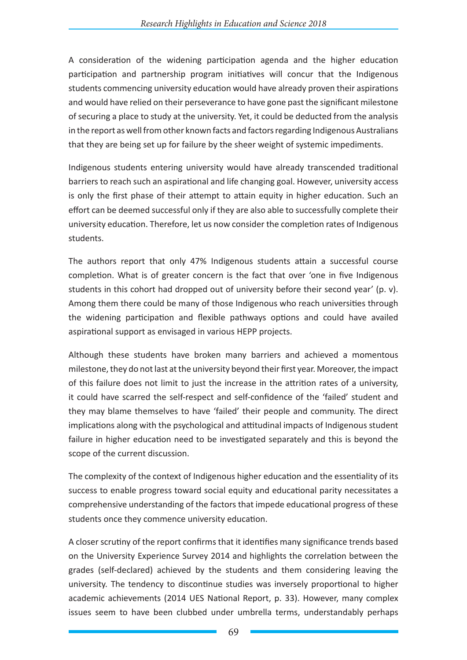A consideration of the widening participation agenda and the higher education participation and partnership program initiatives will concur that the Indigenous students commencing university education would have already proven their aspirations and would have relied on their perseverance to have gone past the significant milestone of securing a place to study at the university. Yet, it could be deducted from the analysis in the report as well from other known facts and factors regarding Indigenous Australians that they are being set up for failure by the sheer weight of systemic impediments.

Indigenous students entering university would have already transcended traditional barriers to reach such an aspirational and life changing goal. However, university access is only the first phase of their attempt to attain equity in higher education. Such an effort can be deemed successful only if they are also able to successfully complete their university education. Therefore, let us now consider the completion rates of Indigenous students.

The authors report that only 47% Indigenous students attain a successful course completion. What is of greater concern is the fact that over 'one in five Indigenous students in this cohort had dropped out of university before their second year' (p. v). Among them there could be many of those Indigenous who reach universities through the widening participation and flexible pathways options and could have availed aspirational support as envisaged in various HEPP projects.

Although these students have broken many barriers and achieved a momentous milestone, they do not last at the university beyond their first year. Moreover, the impact of this failure does not limit to just the increase in the attrition rates of a university, it could have scarred the self-respect and self-confidence of the 'failed' student and they may blame themselves to have 'failed' their people and community. The direct implications along with the psychological and attitudinal impacts of Indigenous student failure in higher education need to be investigated separately and this is beyond the scope of the current discussion.

The complexity of the context of Indigenous higher education and the essentiality of its success to enable progress toward social equity and educational parity necessitates a comprehensive understanding of the factors that impede educational progress of these students once they commence university education.

A closer scrutiny of the report confirms that it identifies many significance trends based on the University Experience Survey 2014 and highlights the correlation between the grades (self-declared) achieved by the students and them considering leaving the university. The tendency to discontinue studies was inversely proportional to higher academic achievements (2014 UES National Report, p. 33). However, many complex issues seem to have been clubbed under umbrella terms, understandably perhaps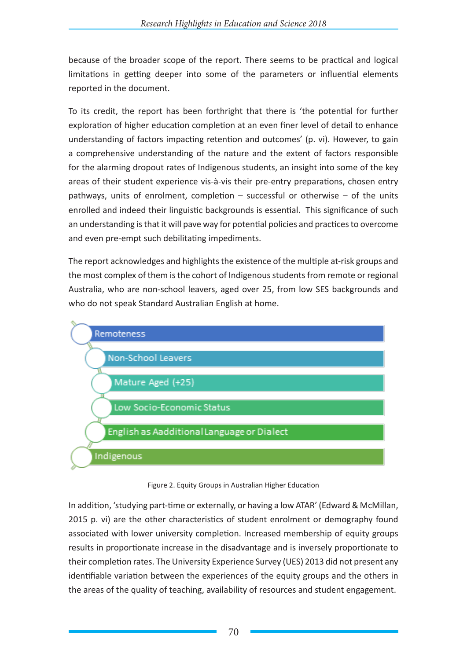because of the broader scope of the report. There seems to be practical and logical limitations in getting deeper into some of the parameters or influential elements reported in the document.

To its credit, the report has been forthright that there is 'the potential for further exploration of higher education completion at an even finer level of detail to enhance understanding of factors impacting retention and outcomes' (p. vi). However, to gain a comprehensive understanding of the nature and the extent of factors responsible for the alarming dropout rates of Indigenous students, an insight into some of the key areas of their student experience vis-à-vis their pre-entry preparations, chosen entry pathways, units of enrolment, completion – successful or otherwise – of the units enrolled and indeed their linguistic backgrounds is essential. This significance of such an understanding is that it will pave way for potential policies and practices to overcome and even pre-empt such debilitating impediments.

The report acknowledges and highlights the existence of the multiple at-risk groups and the most complex of them is the cohort of Indigenous students from remote or regional Australia, who are non-school leavers, aged over 25, from low SES backgrounds and who do not speak Standard Australian English at home.



Figure 2. Equity Groups in Australian Higher Education

In addition, 'studying part-time or externally, or having a low ATAR' (Edward & McMillan, 2015 p. vi) are the other characteristics of student enrolment or demography found associated with lower university completion. Increased membership of equity groups results in proportionate increase in the disadvantage and is inversely proportionate to their completion rates. The University Experience Survey (UES) 2013 did not present any identifiable variation between the experiences of the equity groups and the others in the areas of the quality of teaching, availability of resources and student engagement.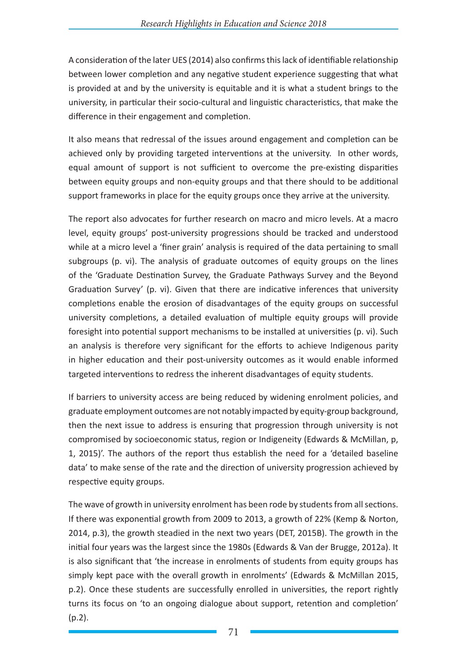A consideration of the later UES (2014) also confirms this lack of identifiable relationship between lower completion and any negative student experience suggesting that what is provided at and by the university is equitable and it is what a student brings to the university, in particular their socio-cultural and linguistic characteristics, that make the difference in their engagement and completion.

It also means that redressal of the issues around engagement and completion can be achieved only by providing targeted interventions at the university. In other words, equal amount of support is not sufficient to overcome the pre-existing disparities between equity groups and non-equity groups and that there should to be additional support frameworks in place for the equity groups once they arrive at the university.

The report also advocates for further research on macro and micro levels. At a macro level, equity groups' post-university progressions should be tracked and understood while at a micro level a 'finer grain' analysis is required of the data pertaining to small subgroups (p. vi). The analysis of graduate outcomes of equity groups on the lines of the 'Graduate Destination Survey, the Graduate Pathways Survey and the Beyond Graduation Survey' (p. vi). Given that there are indicative inferences that university completions enable the erosion of disadvantages of the equity groups on successful university completions, a detailed evaluation of multiple equity groups will provide foresight into potential support mechanisms to be installed at universities (p. vi). Such an analysis is therefore very significant for the efforts to achieve Indigenous parity in higher education and their post-university outcomes as it would enable informed targeted interventions to redress the inherent disadvantages of equity students.

If barriers to university access are being reduced by widening enrolment policies, and graduate employment outcomes are not notably impacted by equity-group background, then the next issue to address is ensuring that progression through university is not compromised by socioeconomic status, region or Indigeneity (Edwards & McMillan, p, 1, 2015)'. The authors of the report thus establish the need for a 'detailed baseline data' to make sense of the rate and the direction of university progression achieved by respective equity groups.

The wave of growth in university enrolment has been rode by students from all sections. If there was exponential growth from 2009 to 2013, a growth of 22% (Kemp & Norton, 2014, p.3), the growth steadied in the next two years (DET, 2015B). The growth in the initial four years was the largest since the 1980s (Edwards & Van der Brugge, 2012a). It is also significant that 'the increase in enrolments of students from equity groups has simply kept pace with the overall growth in enrolments' (Edwards & McMillan 2015, p.2). Once these students are successfully enrolled in universities, the report rightly turns its focus on 'to an ongoing dialogue about support, retention and completion' (p.2).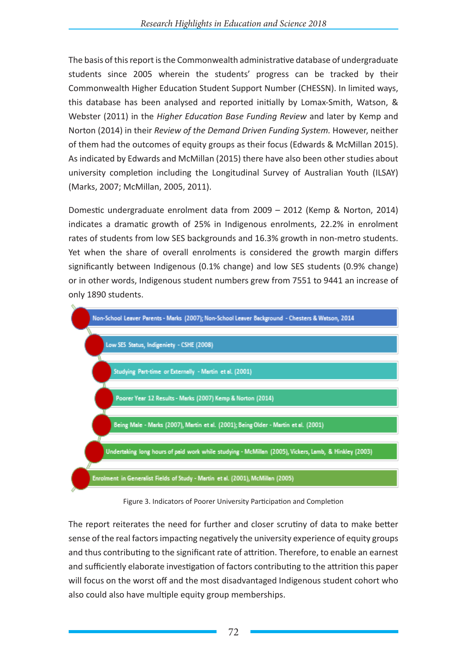The basis of this report is the Commonwealth administrative database of undergraduate students since 2005 wherein the students' progress can be tracked by their Commonwealth Higher Education Student Support Number (CHESSN). In limited ways, this database has been analysed and reported initially by Lomax-Smith, Watson, & Webster (2011) in the *Higher Education Base Funding Review* and later by Kemp and Norton (2014) in their *Review of the Demand Driven Funding System.* However, neither of them had the outcomes of equity groups as their focus (Edwards & McMillan 2015). As indicated by Edwards and McMillan (2015) there have also been other studies about university completion including the Longitudinal Survey of Australian Youth (ILSAY) (Marks, 2007; McMillan, 2005, 2011).

Domestic undergraduate enrolment data from 2009 – 2012 (Kemp & Norton, 2014) indicates a dramatic growth of 25% in Indigenous enrolments, 22.2% in enrolment rates of students from low SES backgrounds and 16.3% growth in non-metro students. Yet when the share of overall enrolments is considered the growth margin differs significantly between Indigenous (0.1% change) and low SES students (0.9% change) or in other words, Indigenous student numbers grew from 7551 to 9441 an increase of only 1890 students.



Figure 3. Indicators of Poorer University Participation and Completion

The report reiterates the need for further and closer scrutiny of data to make better sense of the real factors impacting negatively the university experience of equity groups and thus contributing to the significant rate of attrition. Therefore, to enable an earnest and sufficiently elaborate investigation of factors contributing to the attrition this paper will focus on the worst off and the most disadvantaged Indigenous student cohort who also could also have multiple equity group memberships.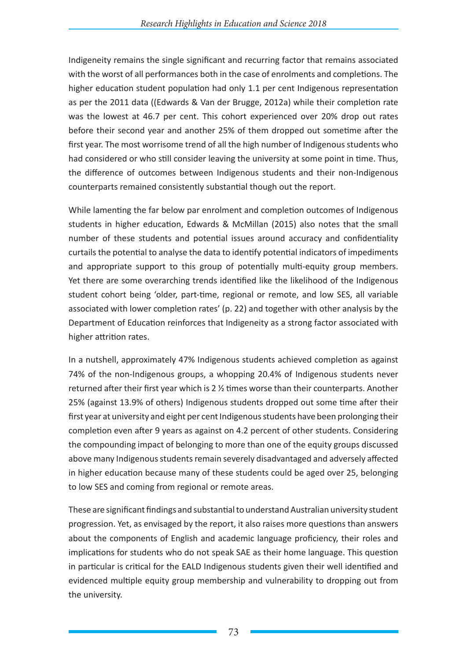Indigeneity remains the single significant and recurring factor that remains associated with the worst of all performances both in the case of enrolments and completions. The higher education student population had only 1.1 per cent Indigenous representation as per the 2011 data ((Edwards & Van der Brugge, 2012a) while their completion rate was the lowest at 46.7 per cent. This cohort experienced over 20% drop out rates before their second year and another 25% of them dropped out sometime after the first year. The most worrisome trend of all the high number of Indigenous students who had considered or who still consider leaving the university at some point in time. Thus, the difference of outcomes between Indigenous students and their non-Indigenous counterparts remained consistently substantial though out the report.

While lamenting the far below par enrolment and completion outcomes of Indigenous students in higher education, Edwards & McMillan (2015) also notes that the small number of these students and potential issues around accuracy and confidentiality curtails the potential to analyse the data to identify potential indicators of impediments and appropriate support to this group of potentially multi-equity group members. Yet there are some overarching trends identified like the likelihood of the Indigenous student cohort being 'older, part-time, regional or remote, and low SES, all variable associated with lower completion rates' (p. 22) and together with other analysis by the Department of Education reinforces that Indigeneity as a strong factor associated with higher attrition rates.

In a nutshell, approximately 47% Indigenous students achieved completion as against 74% of the non-Indigenous groups, a whopping 20.4% of Indigenous students never returned after their first year which is 2 ½ times worse than their counterparts. Another 25% (against 13.9% of others) Indigenous students dropped out some time after their first year at university and eight per cent Indigenous students have been prolonging their completion even after 9 years as against on 4.2 percent of other students. Considering the compounding impact of belonging to more than one of the equity groups discussed above many Indigenous students remain severely disadvantaged and adversely affected in higher education because many of these students could be aged over 25, belonging to low SES and coming from regional or remote areas.

These are significant findings and substantial to understand Australian university student progression. Yet, as envisaged by the report, it also raises more questions than answers about the components of English and academic language proficiency, their roles and implications for students who do not speak SAE as their home language. This question in particular is critical for the EALD Indigenous students given their well identified and evidenced multiple equity group membership and vulnerability to dropping out from the university.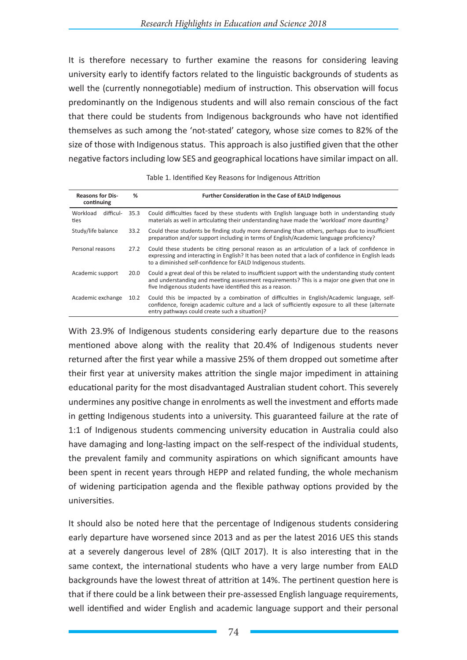It is therefore necessary to further examine the reasons for considering leaving university early to identify factors related to the linguistic backgrounds of students as well the (currently nonnegotiable) medium of instruction. This observation will focus predominantly on the Indigenous students and will also remain conscious of the fact that there could be students from Indigenous backgrounds who have not identified themselves as such among the 'not-stated' category, whose size comes to 82% of the size of those with Indigenous status. This approach is also justified given that the other negative factors including low SES and geographical locations have similar impact on all.

| <b>Reasons for Dis-</b><br>continuing | %    | <b>Further Consideration in the Case of EALD Indigenous</b>                                                                                                                                                                                                          |
|---------------------------------------|------|----------------------------------------------------------------------------------------------------------------------------------------------------------------------------------------------------------------------------------------------------------------------|
| Workload<br>difficul-<br>ties         | 35.3 | Could difficulties faced by these students with English language both in understanding study<br>materials as well in articulating their understanding have made the 'workload' more daunting?                                                                        |
| Study/life balance                    | 33.2 | Could these students be finding study more demanding than others, perhaps due to insufficient<br>preparation and/or support including in terms of English/Academic language proficiency?                                                                             |
| Personal reasons                      | 27.2 | Could these students be citing personal reason as an articulation of a lack of confidence in<br>expressing and interacting in English? It has been noted that a lack of confidence in English leads<br>to a diminished self-confidence for EALD Indigenous students. |
| Academic support                      | 20.0 | Could a great deal of this be related to insufficient support with the understanding study content<br>and understanding and meeting assessment requirements? This is a major one given that one in<br>five Indigenous students have identified this as a reason.     |
| Academic exchange                     | 10.2 | Could this be impacted by a combination of difficulties in English/Academic language, self-<br>confidence, foreign academic culture and a lack of sufficiently exposure to all these (alternate<br>entry pathways could create such a situation)?                    |

## Table 1. Identified Key Reasons for Indigenous Attrition

With 23.9% of Indigenous students considering early departure due to the reasons mentioned above along with the reality that 20.4% of Indigenous students never returned after the first year while a massive 25% of them dropped out sometime after their first year at university makes attrition the single major impediment in attaining educational parity for the most disadvantaged Australian student cohort. This severely undermines any positive change in enrolments as well the investment and efforts made in getting Indigenous students into a university. This guaranteed failure at the rate of 1:1 of Indigenous students commencing university education in Australia could also have damaging and long-lasting impact on the self-respect of the individual students, the prevalent family and community aspirations on which significant amounts have been spent in recent years through HEPP and related funding, the whole mechanism of widening participation agenda and the flexible pathway options provided by the universities.

It should also be noted here that the percentage of Indigenous students considering early departure have worsened since 2013 and as per the latest 2016 UES this stands at a severely dangerous level of 28% (QILT 2017). It is also interesting that in the same context, the international students who have a very large number from EALD backgrounds have the lowest threat of attrition at 14%. The pertinent question here is that if there could be a link between their pre-assessed English language requirements, well identified and wider English and academic language support and their personal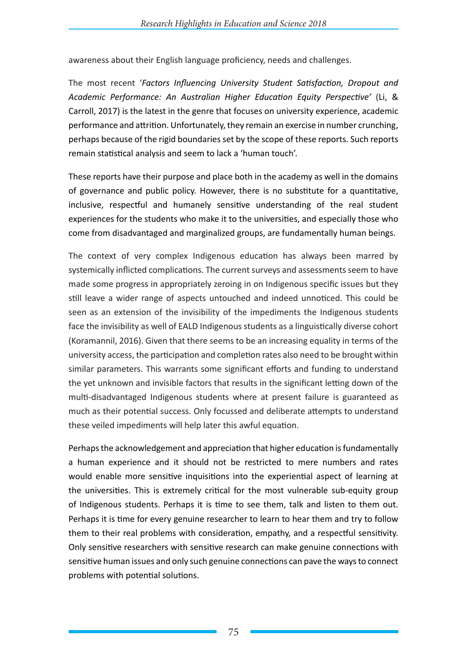awareness about their English language proficiency, needs and challenges.

The most recent '*Factors Influencing University Student Satisfaction, Dropout and Academic Performance: An Australian Higher Education Equity Perspective'* (Li, & Carroll, 2017) is the latest in the genre that focuses on university experience, academic performance and attrition. Unfortunately, they remain an exercise in number crunching, perhaps because of the rigid boundaries set by the scope of these reports. Such reports remain statistical analysis and seem to lack a 'human touch'.

These reports have their purpose and place both in the academy as well in the domains of governance and public policy. However, there is no substitute for a quantitative, inclusive, respectful and humanely sensitive understanding of the real student experiences for the students who make it to the universities, and especially those who come from disadvantaged and marginalized groups, are fundamentally human beings.

The context of very complex Indigenous education has always been marred by systemically inflicted complications. The current surveys and assessments seem to have made some progress in appropriately zeroing in on Indigenous specific issues but they still leave a wider range of aspects untouched and indeed unnoticed. This could be seen as an extension of the invisibility of the impediments the Indigenous students face the invisibility as well of EALD Indigenous students as a linguistically diverse cohort (Koramannil, 2016). Given that there seems to be an increasing equality in terms of the university access, the participation and completion rates also need to be brought within similar parameters. This warrants some significant efforts and funding to understand the yet unknown and invisible factors that results in the significant letting down of the multi-disadvantaged Indigenous students where at present failure is guaranteed as much as their potential success. Only focussed and deliberate attempts to understand these veiled impediments will help later this awful equation.

Perhaps the acknowledgement and appreciation that higher education is fundamentally a human experience and it should not be restricted to mere numbers and rates would enable more sensitive inquisitions into the experiential aspect of learning at the universities. This is extremely critical for the most vulnerable sub-equity group of Indigenous students. Perhaps it is time to see them, talk and listen to them out. Perhaps it is time for every genuine researcher to learn to hear them and try to follow them to their real problems with consideration, empathy, and a respectful sensitivity. Only sensitive researchers with sensitive research can make genuine connections with sensitive human issues and only such genuine connections can pave the ways to connect problems with potential solutions.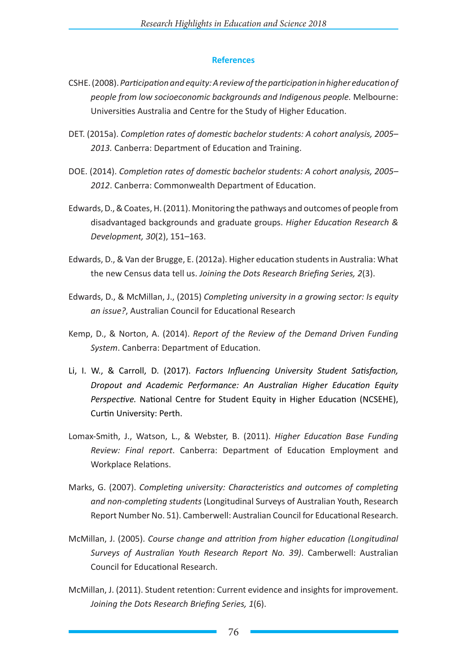## **References**

- CSHE. (2008). *Participation and equity: A review of the participation in higher education of people from low socioeconomic backgrounds and Indigenous people.* Melbourne: Universities Australia and Centre for the Study of Higher Education.
- DET. (2015a). *Completion rates of domestic bachelor students: A cohort analysis, 2005– 2013.* Canberra: Department of Education and Training.
- DOE. (2014). *Completion rates of domestic bachelor students: A cohort analysis, 2005– 2012*. Canberra: Commonwealth Department of Education.
- Edwards, D., & Coates, H. (2011). Monitoring the pathways and outcomes of people from disadvantaged backgrounds and graduate groups. *Higher Education Research & Development, 30*(2), 151–163.
- Edwards, D., & Van der Brugge, E. (2012a). Higher education students in Australia: What the new Census data tell us. *Joining the Dots Research Briefing Series, 2*(3).
- Edwards, D., & McMillan, J., (2015) *Completing university in a growing sector: Is equity an issue?*, Australian Council for Educational Research
- Kemp, D., & Norton, A. (2014). *Report of the Review of the Demand Driven Funding System*. Canberra: Department of Education.
- Li, I. W., & Carroll, D. (2017). *Factors Influencing University Student Satisfaction, Dropout and Academic Performance: An Australian Higher Education Equity Perspective.* National Centre for Student Equity in Higher Education (NCSEHE), Curtin University: Perth.
- Lomax-Smith, J., Watson, L., & Webster, B. (2011). *Higher Education Base Funding Review: Final report*. Canberra: Department of Education Employment and Workplace Relations.
- Marks, G. (2007). *Completing university: Characteristics and outcomes of completing and non-completing students* (Longitudinal Surveys of Australian Youth, Research Report Number No. 51). Camberwell: Australian Council for Educational Research.
- McMillan, J. (2005). *Course change and attrition from higher education (Longitudinal Surveys of Australian Youth Research Report No. 39)*. Camberwell: Australian Council for Educational Research.
- McMillan, J. (2011). Student retention: Current evidence and insights for improvement. *Joining the Dots Research Briefing Series, 1*(6).